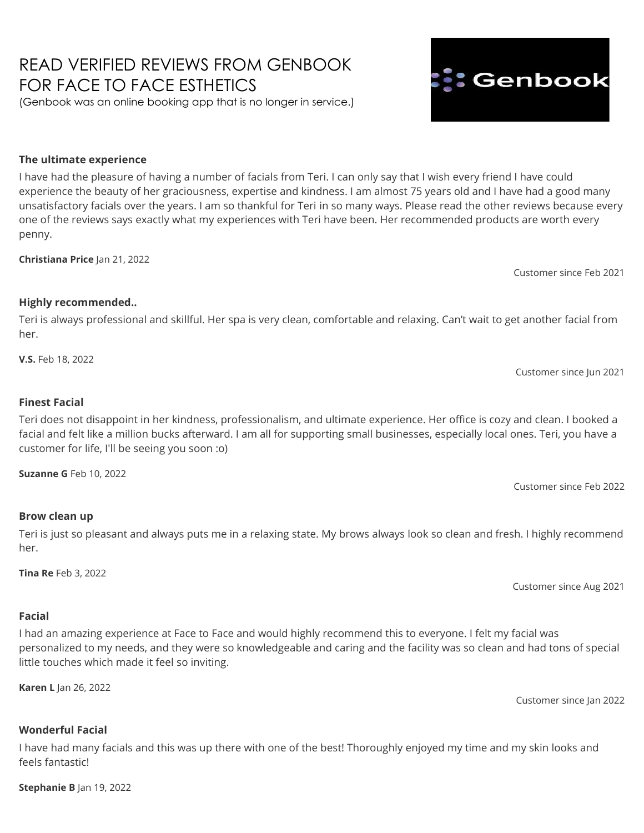#### **Stephanie B** Jan 19, 2022

#### **Wonderful Facial**

I have had many facials and this was up there with one of the best! Thoroughly enjoyed my time and my skin looks and feels fantastic!

**Karen L** Jan 26, 2022

I had an amazing experience at Face to Face and would highly recommend this to everyone. I felt my facial was personalized to my needs, and they were so knowledgeable and caring and the facility was so clean and had tons of special little touches which made it feel so inviting.

Customer since Aug 2021

Customer since Jan 2022

# **Highly recommended..**

**Christiana Price** Jan 21, 2022

**The ultimate experience**

Teri is always professional and skillful. Her spa is very clean, comfortable and relaxing. Can't wait to get another facial from her.

**V.S.** Feb 18, 2022

# **Finest Facial**

Teri does not disappoint in her kindness, professionalism, and ultimate experience. Her office is cozy and clean. I booked a facial and felt like a million bucks afterward. I am all for supporting small businesses, especially local ones. Teri, you have a customer for life, I'll be seeing you soon :o)

**Suzanne G** Feb 10, 2022

# **Brow clean up**

Teri is just so pleasant and always puts me in a relaxing state. My brows always look so clean and fresh. I highly recommend her.

**Tina Re** Feb 3, 2022

**Facial**

I have had the pleasure of having a number of facials from Teri. I can only say that I wish every friend I have could experience the beauty of her graciousness, expertise and kindness. I am almost 75 years old and I have had a good many unsatisfactory facials over the years. I am so thankful for Teri in so many ways. Please read the other reviews because every one of the reviews says exactly what my experiences with Teri have been. Her recommended products are worth every penny.

READ VERIFIED REVIEWS FROM GENBOOK

(Genbook was an online booking app that is no longer in service.)

FOR FACE TO FACE ESTHETICS

Customer since Feb 2021

Customer since Jun 2021

Customer since Feb 2022

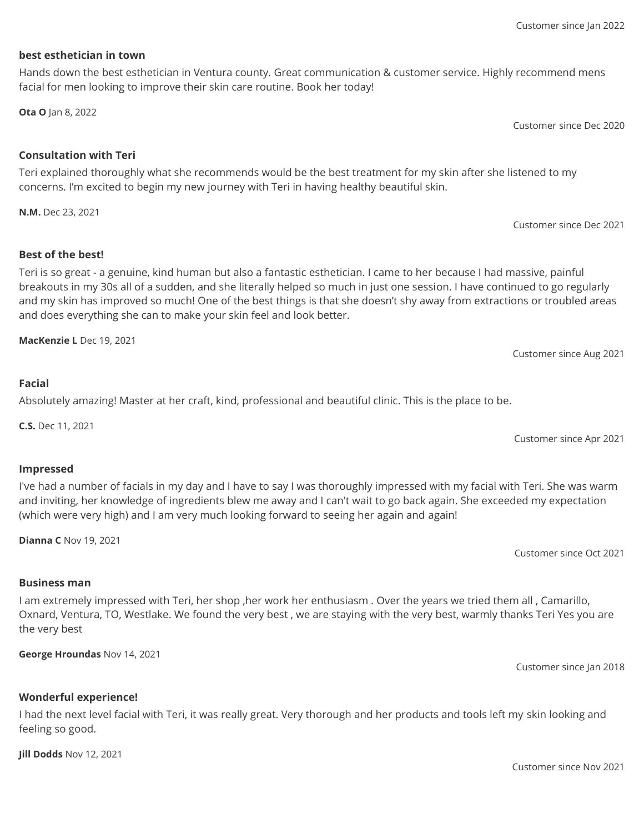# **best esthetician in town**

# Hands down the best esthetician in Ventura county. Great communication & customer service. Highly recommend mens facial for men looking to improve their skin care routine. Book her today!

**Ota O** Jan 8, 2022

# **Consultation with Teri**

Teri explained thoroughly what she recommends would be the best treatment for my skin after she listened to my concerns. I'm excited to begin my new journey with Teri in having healthy beautiful skin.

**N.M.** Dec 23, 2021

Customer since Dec 2021

Customer since Dec 2020

# **Best of the best!**

Teri is so great - a genuine, kind human but also a fantastic esthetician. I came to her because I had massive, painful breakouts in my 30s all of a sudden, and she literally helped so much in just one session. I have continued to go regularly and my skin has improved so much! One of the best things is that she doesn't shy away from extractions or troubled areas and does everything she can to make your skin feel and look better.

**MacKenzie L** Dec 19, 2021

**Facial**

# Absolutely amazing! Master at her craft, kind, professional and beautiful clinic. This is the place to be.

**C.S.** Dec 11, 2021

Customer since Apr 2021

Customer since Aug 2021

# **Impressed**

I've had a number of facials in my day and I have to say I was thoroughly impressed with my facial with Teri. She was warm and inviting, her knowledge of ingredients blew me away and I can't wait to go back again. She exceeded my expectation (which were very high) and I am very much looking forward to seeing her again and again!

**Dianna C** Nov 19, 2021

Customer since Oct 2021

# **Business man**

I am extremely impressed with Teri, her shop ,her work her enthusiasm . Over the years we tried them all , Camarillo, Oxnard, Ventura, TO, Westlake. We found the very best , we are staying with the very best, warmly thanks Teri Yes you are the very best

**George Hroundas** Nov 14, 2021

**Wonderful experience!**

I had the next level facial with Teri, it was really great. Very thorough and her products and tools left my skin looking and feeling so good.

**Jill Dodds** Nov 12, 2021

Customer since Nov 2021

Customer since Jan 2018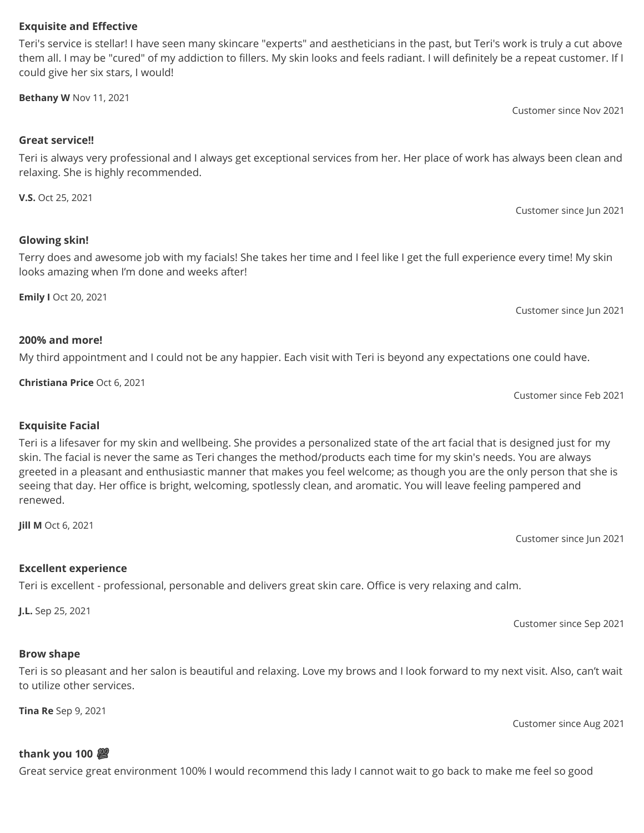# **Exquisite and Effective**

Teri's service is stellar! I have seen many skincare "experts" and aestheticians in the past, but Teri's work is truly a cut above them all. I may be "cured" of my addiction to fillers. My skin looks and feels radiant. I will definitely be a repeat customer. If I could give her six stars, I would!

**Bethany W** Nov 11, 2021

# **Great service!!**

Teri is always very professional and I always get exceptional services from her. Her place of work has always been clean and relaxing. She is highly recommended.

**V.S.** Oct 25, 2021

Customer since Jun 2021

Customer since Nov 2021

# **Glowing skin!**

Terry does and awesome job with my facials! She takes her time and I feel like I get the full experience every time! My skin looks amazing when I'm done and weeks after!

**Emily I** Oct 20, 2021

Customer since Jun 2021

### **200% and more!**

My third appointment and I could not be any happier. Each visit with Teri is beyond any expectations one could have.

**Christiana Price** Oct 6, 2021

Customer since Feb 2021

# **Exquisite Facial**

Teri is a lifesaver for my skin and wellbeing. She provides a personalized state of the art facial that is designed just for my skin. The facial is never the same as Teri changes the method/products each time for my skin's needs. You are always greeted in a pleasant and enthusiastic manner that makes you feel welcome; as though you are the only person that she is seeing that day. Her office is bright, welcoming, spotlessly clean, and aromatic. You will leave feeling pampered and renewed.

**Jill M** Oct 6, 2021

**Excellent experience**

Teri is excellent - professional, personable and delivers great skin care. Office is very relaxing and calm.

**J.L.** Sep 25, 2021

Customer since Sep 2021

Customer since Jun 2021

# **Brow shape**

Teri is so pleasant and her salon is beautiful and relaxing. Love my brows and I look forward to my next visit. Also, can't wait to utilize other services.

**Tina Re** Sep 9, 2021

Customer since Aug 2021

# **thank you 100**

Great service great environment 100% I would recommend this lady I cannot wait to go back to make me feel so good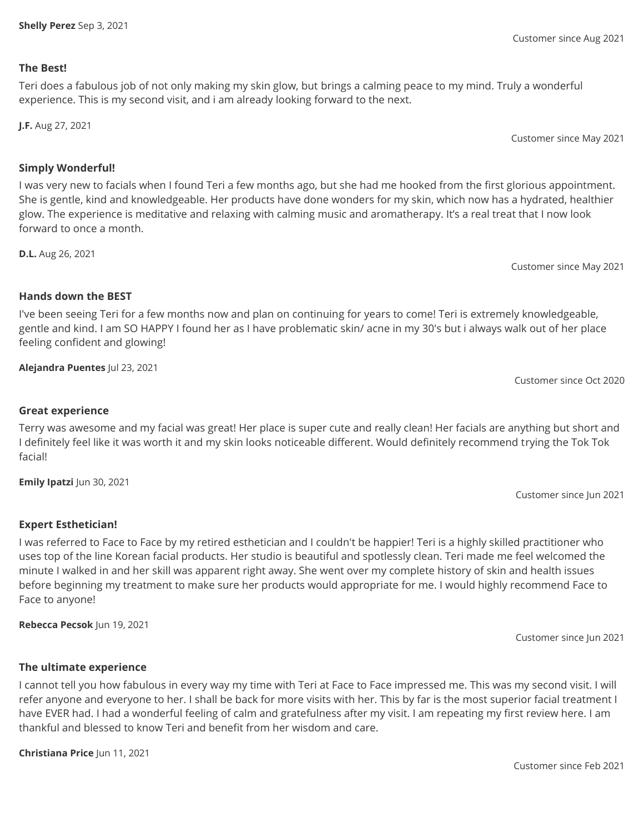### **The Best!**

Teri does a fabulous job of not only making my skin glow, but brings a calming peace to my mind. Truly a wonderful experience. This is my second visit, and i am already looking forward to the next.

**J.F.** Aug 27, 2021

Customer since May 2021

# **Simply Wonderful!**

I was very new to facials when I found Teri a few months ago, but she had me hooked from the first glorious appointment. She is gentle, kind and knowledgeable. Her products have done wonders for my skin, which now has a hydrated, healthier glow. The experience is meditative and relaxing with calming music and aromatherapy. It's a real treat that I now look forward to once a month.

**D.L.** Aug 26, 2021

Customer since May 2021

# **Hands down the BEST**

I've been seeing Teri for a few months now and plan on continuing for years to come! Teri is extremely knowledgeable, gentle and kind. I am SO HAPPY I found her as I have problematic skin/ acne in my 30's but i always walk out of her place feeling confident and glowing!

**Alejandra Puentes** Jul 23, 2021

Customer since Oct 2020

Customer since Jun 2021

# **Great experience**

Terry was awesome and my facial was great! Her place is super cute and really clean! Her facials are anything but short and I definitely feel like it was worth it and my skin looks noticeable different. Would definitely recommend trying the Tok Tok facial!

**Emily Ipatzi** Jun 30, 2021

# **Expert Esthetician!**

I was referred to Face to Face by my retired esthetician and I couldn't be happier! Teri is a highly skilled practitioner who uses top of the line Korean facial products. Her studio is beautiful and spotlessly clean. Teri made me feel welcomed the minute I walked in and her skill was apparent right away. She went over my complete history of skin and health issues before beginning my treatment to make sure her products would appropriate for me. I would highly recommend Face to Face to anyone!

**Rebecca Pecsok** Jun 19, 2021

Customer since Jun 2021

# **The ultimate experience**

I cannot tell you how fabulous in every way my time with Teri at Face to Face impressed me. This was my second visit. I will refer anyone and everyone to her. I shall be back for more visits with her. This by far is the most superior facial treatment I have EVER had. I had a wonderful feeling of calm and gratefulness after my visit. I am repeating my first review here. I am thankful and blessed to know Teri and benefit from her wisdom and care.

**Christiana Price** Jun 11, 2021

# Customer since Aug 2021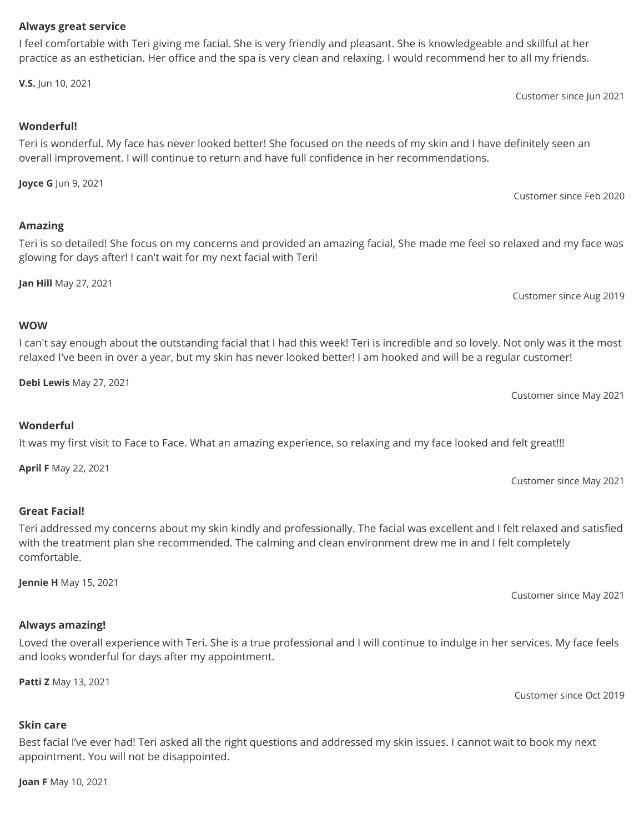#### Customer since Feb 2020

Customer since Jun 2021

Customer since Aug 2019

Customer since May 2021

Customer since May 2021

glowing for days after! I can't wait for my next facial with Teri! **Jan Hill** May 27, 2021

Teri is so detailed! She focus on my concerns and provided an amazing facial, She made me feel so relaxed and my face was

I can't say enough about the outstanding facial that I had this week! Teri is incredible and so lovely. Not only was it the most relaxed I've been in over a year, but my skin has never looked better! I am hooked and will be a regular customer!

**Debi Lewis** May 27, 2021

It was my first visit to Face to Face. What an amazing experience, so relaxing and my face looked and felt great!!!

**April F** May 22, 2021

**Great Facial!**

**Wonderful**

Teri addressed my concerns about my skin kindly and professionally. The facial was excellent and I felt relaxed and satisfied with the treatment plan she recommended. The calming and clean environment drew me in and I felt completely comfortable.

**Jennie H** May 15, 2021

# **Always amazing!**

Loved the overall experience with Teri. She is a true professional and I will continue to indulge in her services. My face feels and looks wonderful for days after my appointment.

**Patti Z** May 13, 2021

**Skin care**

Best facial I've ever had! Teri asked all the right questions and addressed my skin issues. I cannot wait to book my next appointment. You will not be disappointed.

**Joan F** May 10, 2021

# **Always great service**

I feel comfortable with Teri giving me facial. She is very friendly and pleasant. She is knowledgeable and skillful at her practice as an esthetician. Her office and the spa is very clean and relaxing. I would recommend her to all my friends.

Teri is wonderful. My face has never looked better! She focused on the needs of my skin and I have definitely seen an

overall improvement. I will continue to return and have full confidence in her recommendations.

**V.S.** Jun 10, 2021

**Wonderful!**

**Amazing**

**WOW**

**Joyce G** Jun 9, 2021

Customer since May 2021

Customer since Oct 2019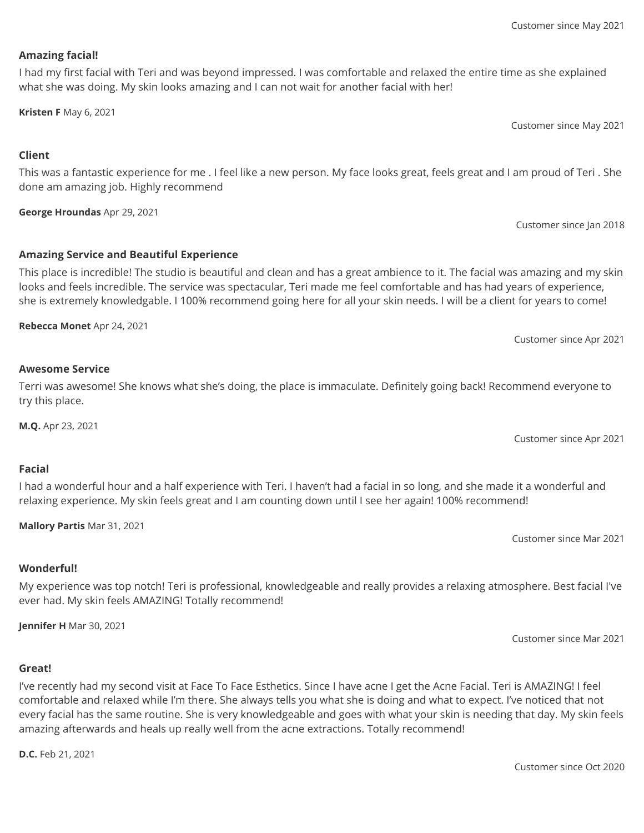# **Amazing facial!**

I had my first facial with Teri and was beyond impressed. I was comfortable and relaxed the entire time as she explained what she was doing. My skin looks amazing and I can not wait for another facial with her!

**Kristen F** May 6, 2021

Customer since May 2021

Customer since Jan 2018

# **Client**

This was a fantastic experience for me . I feel like a new person. My face looks great, feels great and I am proud of Teri . She done am amazing job. Highly recommend

**George Hroundas** Apr 29, 2021

# **Amazing Service and Beautiful Experience**

This place is incredible! The studio is beautiful and clean and has a great ambience to it. The facial was amazing and my skin looks and feels incredible. The service was spectacular, Teri made me feel comfortable and has had years of experience, she is extremely knowledgable. I 100% recommend going here for all your skin needs. I will be a client for years to come!

**Rebecca Monet** Apr 24, 2021

Customer since Apr 2021

### **Awesome Service**

Terri was awesome! She knows what she's doing, the place is immaculate. Definitely going back! Recommend everyone to try this place.

**M.Q.** Apr 23, 2021

Customer since Apr 2021

# **Facial**

I had a wonderful hour and a half experience with Teri. I haven't had a facial in so long, and she made it a wonderful and relaxing experience. My skin feels great and I am counting down until I see her again! 100% recommend!

**Mallory Partis** Mar 31, 2021

Customer since Mar 2021

# **Wonderful!**

My experience was top notch! Teri is professional, knowledgeable and really provides a relaxing atmosphere. Best facial I've ever had. My skin feels AMAZING! Totally recommend!

**Jennifer H** Mar 30, 2021

Customer since Mar 2021

#### **Great!**

I've recently had my second visit at Face To Face Esthetics. Since I have acne I get the Acne Facial. Teri is AMAZING! I feel comfortable and relaxed while I'm there. She always tells you what she is doing and what to expect. I've noticed that not every facial has the same routine. She is very knowledgeable and goes with what your skin is needing that day. My skin feels amazing afterwards and heals up really well from the acne extractions. Totally recommend!

**D.C.** Feb 21, 2021

Customer since Oct 2020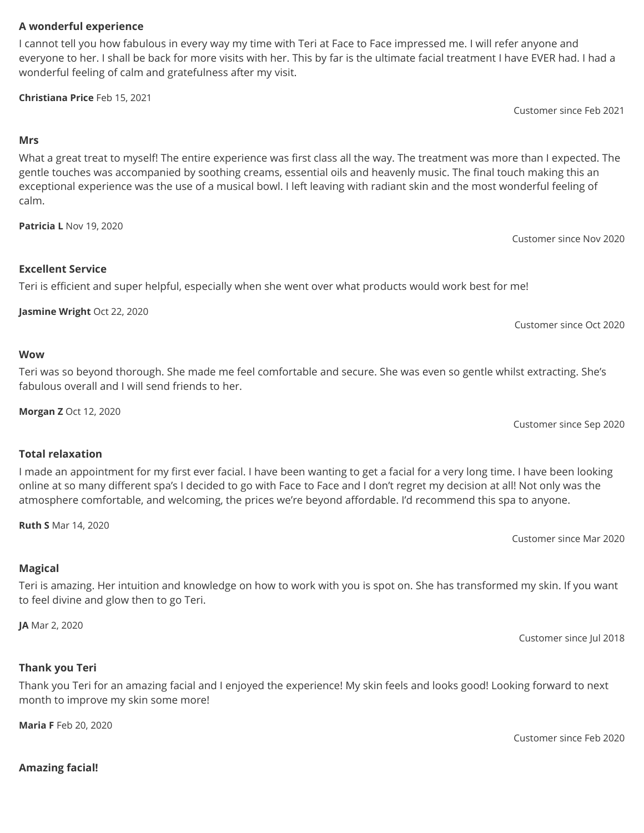# **A wonderful experience**

I cannot tell you how fabulous in every way my time with Teri at Face to Face impressed me. I will refer anyone and everyone to her. I shall be back for more visits with her. This by far is the ultimate facial treatment I have EVER had. I had a wonderful feeling of calm and gratefulness after my visit.

**Christiana Price** Feb 15, 2021

Customer since Feb 2021

### **Mrs**

What a great treat to myself! The entire experience was first class all the way. The treatment was more than I expected. The gentle touches was accompanied by soothing creams, essential oils and heavenly music. The final touch making this an exceptional experience was the use of a musical bowl. I left leaving with radiant skin and the most wonderful feeling of calm.

**Patricia L** Nov 19, 2020

Customer since Nov 2020

Customer since Oct 2020

# **Excellent Service**

Teri is efficient and super helpful, especially when she went over what products would work best for me!

**Jasmine Wright** Oct 22, 2020

#### **Wow**

Teri was so beyond thorough. She made me feel comfortable and secure. She was even so gentle whilst extracting. She's fabulous overall and I will send friends to her.

**Morgan Z** Oct 12, 2020

Customer since Sep 2020

# **Total relaxation**

I made an appointment for my first ever facial. I have been wanting to get a facial for a very long time. I have been looking online at so many different spa's I decided to go with Face to Face and I don't regret my decision at all! Not only was the atmosphere comfortable, and welcoming, the prices we're beyond affordable. I'd recommend this spa to anyone.

**Ruth S** Mar 14, 2020

Customer since Mar 2020

# **Magical**

Teri is amazing. Her intuition and knowledge on how to work with you is spot on. She has transformed my skin. If you want to feel divine and glow then to go Teri.

**JA** Mar 2, 2020

Customer since Jul 2018

# **Thank you Teri**

Thank you Teri for an amazing facial and I enjoyed the experience! My skin feels and looks good! Looking forward to next month to improve my skin some more!

**Maria F** Feb 20, 2020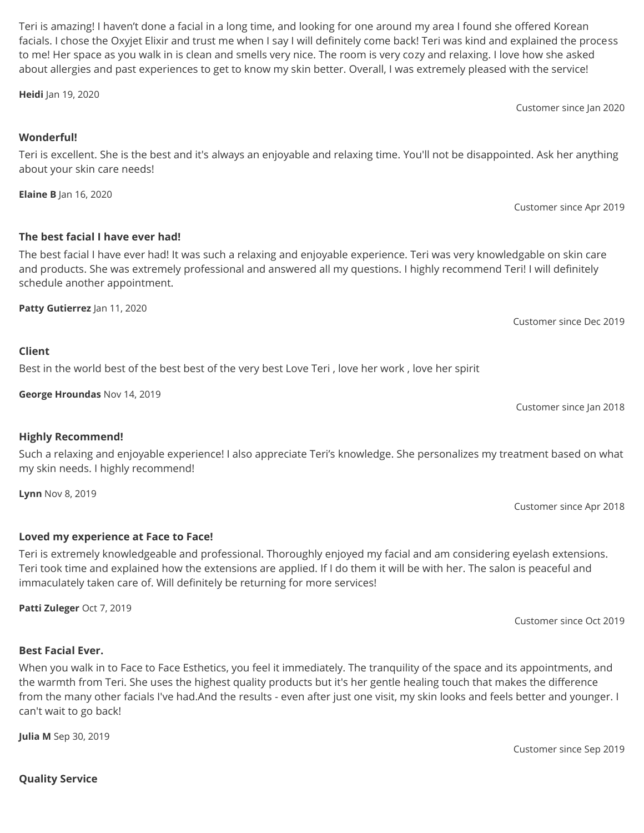**Quality Service**

**Julia M** Sep 30, 2019

my skin needs. I highly recommend!

immaculately taken care of. Will definitely be returning for more services!

When you walk in to Face to Face Esthetics, you feel it immediately. The tranquility of the space and its appointments, and the warmth from Teri. She uses the highest quality products but it's her gentle healing touch that makes the difference from the many other facials I've had.And the results - even after just one visit, my skin looks and feels better and younger. I

Such a relaxing and enjoyable experience! I also appreciate Teri's knowledge. She personalizes my treatment based on what

**Best Facial Ever.**

can't wait to go back!

# **Loved my experience at Face to Face!**

Teri is extremely knowledgeable and professional. Thoroughly enjoyed my facial and am considering eyelash extensions. Teri took time and explained how the extensions are applied. If I do them it will be with her. The salon is peaceful and

**Patti Zuleger** Oct 7, 2019

# **The best facial I have ever had!**

about your skin care needs!

**Elaine B** Jan 16, 2020

The best facial I have ever had! It was such a relaxing and enjoyable experience. Teri was very knowledgable on skin care and products. She was extremely professional and answered all my questions. I highly recommend Teri! I will definitely schedule another appointment.

Best in the world best of the best best of the very best Love Teri , love her work , love her spirit

**Patty Gutierrez** Jan 11, 2020

**George Hroundas** Nov 14, 2019

**Highly Recommend!**

**Lynn** Nov 8, 2019

# Customer since Dec 2019

Customer since Jan 2018

Customer since Apr 2018

Customer since Oct 2019

facials. I chose the Oxyjet Elixir and trust me when I say I will definitely come back! Teri was kind and explained the process to me! Her space as you walk in is clean and smells very nice. The room is very cozy and relaxing. I love how she asked about allergies and past experiences to get to know my skin better. Overall, I was extremely pleased with the service!

Teri is excellent. She is the best and it's always an enjoyable and relaxing time. You'll not be disappointed. Ask her anything

Teri is amazing! I haven't done a facial in a long time, and looking for one around my area I found she offered Korean

**Heidi** Jan 19, 2020

**Wonderful!**

**Client**

Customer since Jan 2020

Customer since Apr 2019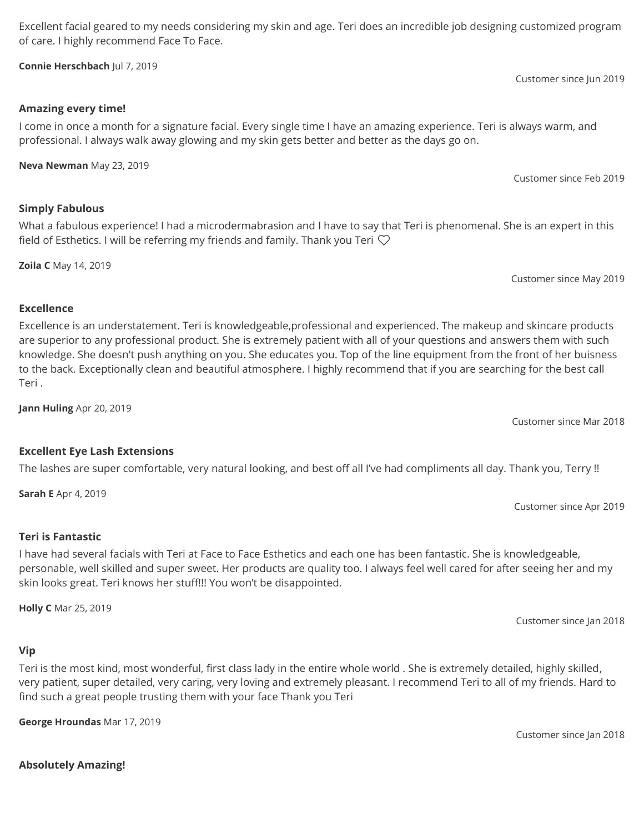of care. I highly recommend Face To Face. **Connie Herschbach** Jul 7, 2019

Excellent facial geared to my needs considering my skin and age. Teri does an incredible job designing customized program

# **Amazing every time!**

I come in once a month for a signature facial. Every single time I have an amazing experience. Teri is always warm, and professional. I always walk away glowing and my skin gets better and better as the days go on.

field of Esthetics. I will be referring my friends and family. Thank you Teri  $\heartsuit$ 

**Neva Newman** May 23, 2019

# **Simply Fabulous**

**Zoila C** May 14, 2019

# **Excellence**

Excellence is an understatement. Teri is knowledgeable,professional and experienced. The makeup and skincare products are superior to any professional product. She is extremely patient with all of your questions and answers them with such knowledge. She doesn't push anything on you. She educates you. Top of the line equipment from the front of her buisness to the back. Exceptionally clean and beautiful atmosphere. I highly recommend that if you are searching for the best call Teri .

**Jann Huling** Apr 20, 2019

Customer since Mar 2018

# **Excellent Eye Lash Extensions**

The lashes are super comfortable, very natural looking, and best off all I've had compliments all day. Thank you, Terry !!

**Sarah E** Apr 4, 2019

**Teri is Fantastic**

I have had several facials with Teri at Face to Face Esthetics and each one has been fantastic. She is knowledgeable, personable, well skilled and super sweet. Her products are quality too. I always feel well cared for after seeing her and my skin looks great. Teri knows her stuff!!! You won't be disappointed.

**Holly C** Mar 25, 2019

# **Vip**

Teri is the most kind, most wonderful, first class lady in the entire whole world . She is extremely detailed, highly skilled, very patient, super detailed, very caring, very loving and extremely pleasant. I recommend Teri to all of my friends. Hard to find such a great people trusting them with your face Thank you Teri

**George Hroundas** Mar 17, 2019

Customer since Jan 2018

Customer since Apr 2019

Customer since Jan 2018

Customer since Feb 2019

What a fabulous experience! I had a microdermabrasion and I have to say that Teri is phenomenal. She is an expert in this

Customer since May 2019

Customer since Jun 2019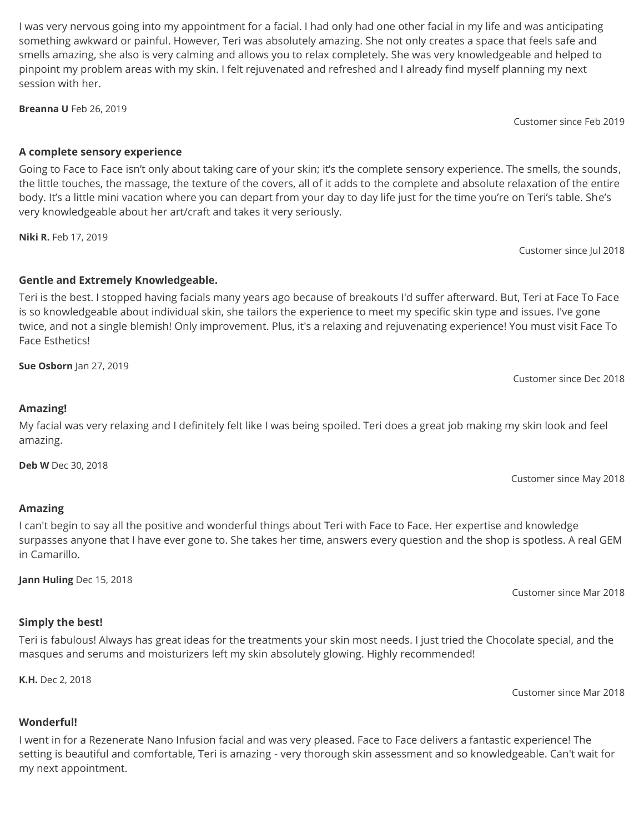I was very nervous going into my appointment for a facial. I had only had one other facial in my life and was anticipating something awkward or painful. However, Teri was absolutely amazing. She not only creates a space that feels safe and smells amazing, she also is very calming and allows you to relax completely. She was very knowledgeable and helped to pinpoint my problem areas with my skin. I felt rejuvenated and refreshed and I already find myself planning my next session with her.

**Breanna U** Feb 26, 2019

Customer since Feb 2019

# **A complete sensory experience**

Going to Face to Face isn't only about taking care of your skin; it's the complete sensory experience. The smells, the sounds, the little touches, the massage, the texture of the covers, all of it adds to the complete and absolute relaxation of the entire body. It's a little mini vacation where you can depart from your day to day life just for the time you're on Teri's table. She's very knowledgeable about her art/craft and takes it very seriously.

**Niki R.** Feb 17, 2019

Customer since Jul 2018

# **Gentle and Extremely Knowledgeable.**

Teri is the best. I stopped having facials many years ago because of breakouts I'd suffer afterward. But, Teri at Face To Face is so knowledgeable about individual skin, she tailors the experience to meet my specific skin type and issues. I've gone twice, and not a single blemish! Only improvement. Plus, it's a relaxing and rejuvenating experience! You must visit Face To Face Esthetics!

**Sue Osborn** Jan 27, 2019

Customer since Dec 2018

# **Amazing!**

My facial was very relaxing and I definitely felt like I was being spoiled. Teri does a great job making my skin look and feel amazing.

**Deb W** Dec 30, 2018

Customer since May 2018

# **Amazing**

I can't begin to say all the positive and wonderful things about Teri with Face to Face. Her expertise and knowledge surpasses anyone that I have ever gone to. She takes her time, answers every question and the shop is spotless. A real GEM in Camarillo.

**Jann Huling** Dec 15, 2018

Customer since Mar 2018

# **Simply the best!**

Teri is fabulous! Always has great ideas for the treatments your skin most needs. I just tried the Chocolate special, and the masques and serums and moisturizers left my skin absolutely glowing. Highly recommended!

**K.H.** Dec 2, 2018

Customer since Mar 2018

# **Wonderful!**

I went in for a Rezenerate Nano Infusion facial and was very pleased. Face to Face delivers a fantastic experience! The setting is beautiful and comfortable, Teri is amazing - very thorough skin assessment and so knowledgeable. Can't wait for my next appointment.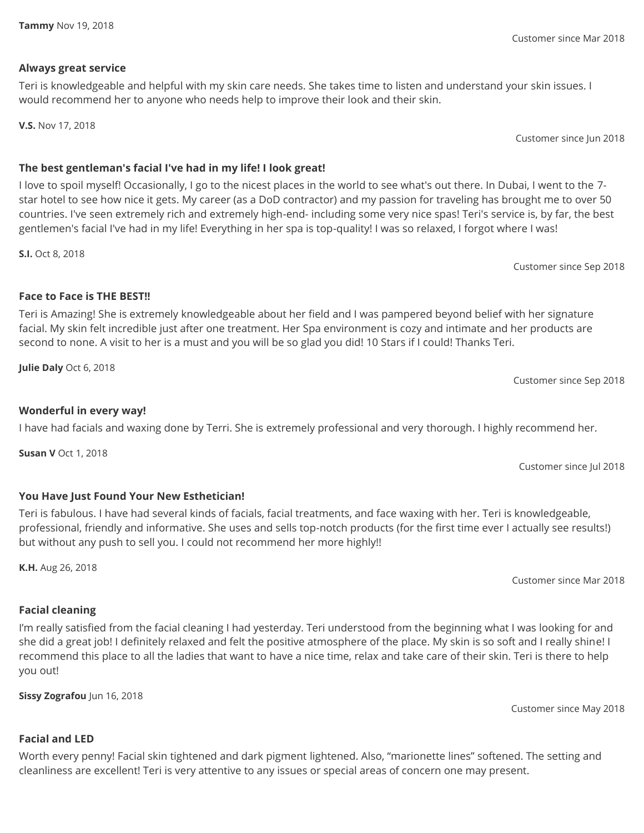# **Always great service**

Teri is knowledgeable and helpful with my skin care needs. She takes time to listen and understand your skin issues. I would recommend her to anyone who needs help to improve their look and their skin.

**V.S.** Nov 17, 2018

Customer since Jun 2018

# **The best gentleman's facial I've had in my life! I look great!**

I love to spoil myself! Occasionally, I go to the nicest places in the world to see what's out there. In Dubai, I went to the 7 star hotel to see how nice it gets. My career (as a DoD contractor) and my passion for traveling has brought me to over 50 countries. I've seen extremely rich and extremely high-end- including some very nice spas! Teri's service is, by far, the best gentlemen's facial I've had in my life! Everything in her spa is top-quality! I was so relaxed, I forgot where I was!

**S.I.** Oct 8, 2018

Customer since Sep 2018

# **Face to Face is THE BEST!!**

Teri is Amazing! She is extremely knowledgeable about her field and I was pampered beyond belief with her signature facial. My skin felt incredible just after one treatment. Her Spa environment is cozy and intimate and her products are second to none. A visit to her is a must and you will be so glad you did! 10 Stars if I could! Thanks Teri.

**Julie Daly** Oct 6, 2018

# **Wonderful in every way!**

I have had facials and waxing done by Terri. She is extremely professional and very thorough. I highly recommend her.

**Susan V** Oct 1, 2018

Customer since Jul 2018

Customer since Sep 2018

# **You Have Just Found Your New Esthetician!**

Teri is fabulous. I have had several kinds of facials, facial treatments, and face waxing with her. Teri is knowledgeable, professional, friendly and informative. She uses and sells top-notch products (for the first time ever I actually see results!) but without any push to sell you. I could not recommend her more highly!!

**K.H.** Aug 26, 2018

# **Facial cleaning**

**Facial and LED**

# I'm really satisfied from the facial cleaning I had yesterday. Teri understood from the beginning what I was looking for and she did a great job! I definitely relaxed and felt the positive atmosphere of the place. My skin is so soft and I really shine! I recommend this place to all the ladies that want to have a nice time, relax and take care of their skin. Teri is there to help you out!

**Sissy Zografou** Jun 16, 2018

Customer since May 2018

Customer since Mar 2018

Worth every penny! Facial skin tightened and dark pigment lightened. Also, "marionette lines" softened. The setting and cleanliness are excellent! Teri is very attentive to any issues or special areas of concern one may present.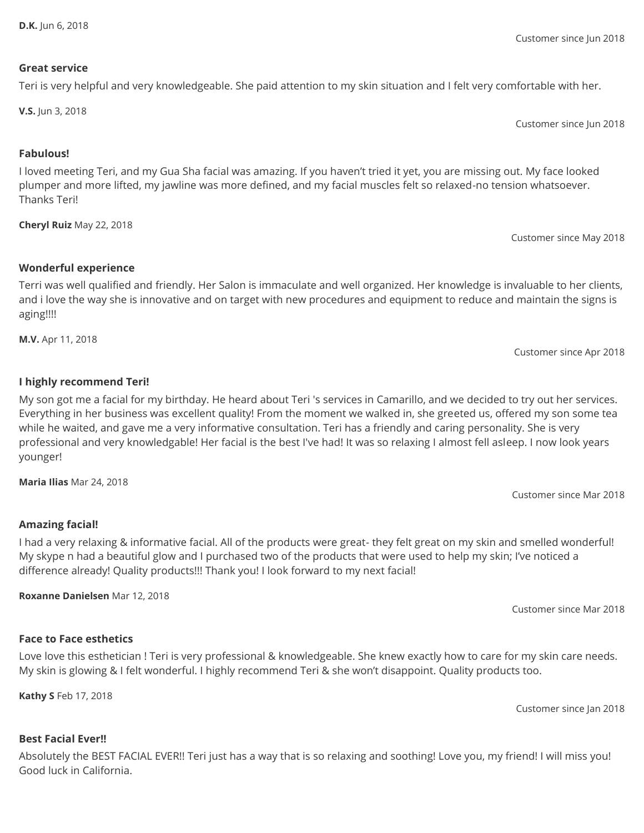Customer since Jun 2018

#### **Great service**

# Teri is very helpful and very knowledgeable. She paid attention to my skin situation and I felt very comfortable with her.

**V.S.** Jun 3, 2018

Customer since Jun 2018

#### **Fabulous!**

I loved meeting Teri, and my Gua Sha facial was amazing. If you haven't tried it yet, you are missing out. My face looked plumper and more lifted, my jawline was more defined, and my facial muscles felt so relaxed-no tension whatsoever. Thanks Teri!

**Cheryl Ruiz** May 22, 2018

Customer since May 2018

#### **Wonderful experience**

Terri was well qualified and friendly. Her Salon is immaculate and well organized. Her knowledge is invaluable to her clients, and i love the way she is innovative and on target with new procedures and equipment to reduce and maintain the signs is aging!!!!

**M.V.** Apr 11, 2018

Customer since Apr 2018

#### **I highly recommend Teri!**

My son got me a facial for my birthday. He heard about Teri 's services in Camarillo, and we decided to try out her services. Everything in her business was excellent quality! From the moment we walked in, she greeted us, offered my son some tea while he waited, and gave me a very informative consultation. Teri has a friendly and caring personality. She is very professional and very knowledgable! Her facial is the best I've had! It was so relaxing I almost fell asleep. I now look years younger!

**Maria Ilias** Mar 24, 2018

Customer since Mar 2018

#### **Amazing facial!**

I had a very relaxing & informative facial. All of the products were great- they felt great on my skin and smelled wonderful! My skype n had a beautiful glow and I purchased two of the products that were used to help my skin; I've noticed a difference already! Quality products!!! Thank you! I look forward to my next facial!

**Roxanne Danielsen** Mar 12, 2018

Customer since Mar 2018

#### **Face to Face esthetics**

Love love this esthetician ! Teri is very professional & knowledgeable. She knew exactly how to care for my skin care needs. My skin is glowing & I felt wonderful. I highly recommend Teri & she won't disappoint. Quality products too.

**Kathy S** Feb 17, 2018

Customer since Jan 2018

#### **Best Facial Ever!!**

Absolutely the BEST FACIAL EVER!! Teri just has a way that is so relaxing and soothing! Love you, my friend! I will miss you! Good luck in California.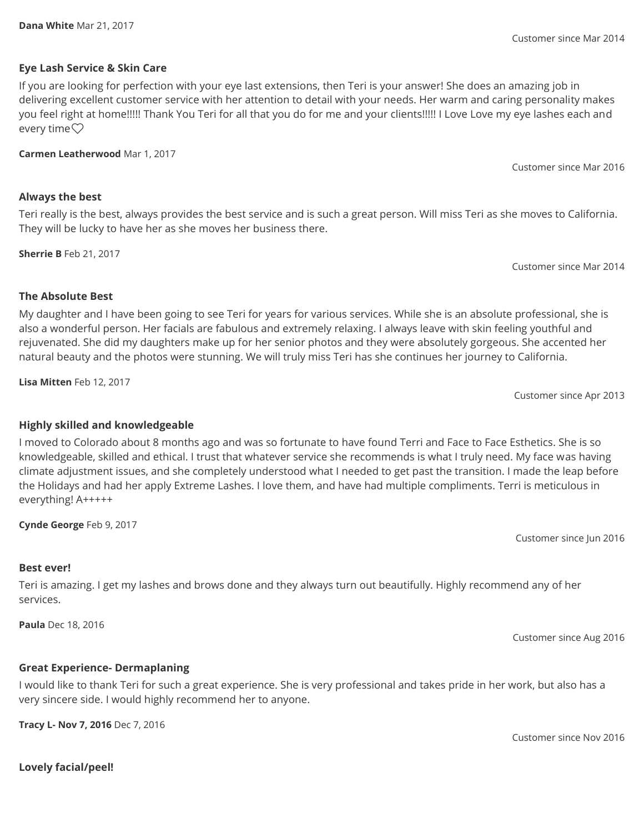**Lovely facial/peel!**

**Eye Lash Service & Skin Care**

If you are looking for perfection with your eye last extensions, then Teri is your answer! She does an amazing job in delivering excellent customer service with her attention to detail with your needs. Her warm and caring personality makes you feel right at home!!!!! Thank You Teri for all that you do for me and your clients!!!!! I Love Love my eye lashes each and every time $\heartsuit$ 

**Carmen Leatherwood** Mar 1, 2017

# **Always the best**

Teri really is the best, always provides the best service and is such a great person. Will miss Teri as she moves to California. They will be lucky to have her as she moves her business there.

**Sherrie B** Feb 21, 2017

**The Absolute Best** My daughter and I have been going to see Teri for years for various services. While she is an absolute professional, she is also a wonderful person. Her facials are fabulous and extremely relaxing. I always leave with skin feeling youthful and rejuvenated. She did my daughters make up for her senior photos and they were absolutely gorgeous. She accented her natural beauty and the photos were stunning. We will truly miss Teri has she continues her journey to California.

I moved to Colorado about 8 months ago and was so fortunate to have found Terri and Face to Face Esthetics. She is so knowledgeable, skilled and ethical. I trust that whatever service she recommends is what I truly need. My face was having climate adjustment issues, and she completely understood what I needed to get past the transition. I made the leap before

**Lisa Mitten** Feb 12, 2017

Customer since Apr 2013

Customer since Jun 2016

# **Best ever!**

Teri is amazing. I get my lashes and brows done and they always turn out beautifully. Highly recommend any of her services.

**Paula** Dec 18, 2016

# **Great Experience- Dermaplaning**

I would like to thank Teri for such a great experience. She is very professional and takes pride in her work, but also has a very sincere side. I would highly recommend her to anyone.

**Tracy L- Nov 7, 2016** Dec 7, 2016

Customer since Mar 2014

Customer since Mar 2016

Customer since Mar 2014

Customer since Aug 2016

Customer since Nov 2016

the Holidays and had her apply Extreme Lashes. I love them, and have had multiple compliments. Terri is meticulous in everything! A+++++

**Highly skilled and knowledgeable**

**Cynde George** Feb 9, 2017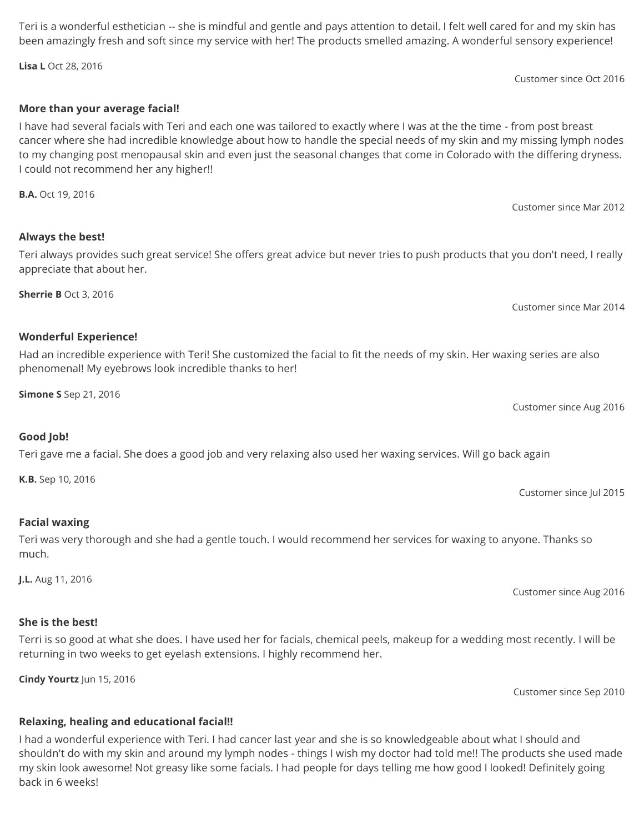Customer since Mar 2012

Customer since Oct 2016

Customer since Mar 2014

Customer since Aug 2016

Customer since Jul 2015

Customer since Sep 2010

Customer since Aug 2016

# **Relaxing, healing and educational facial!!**

I had a wonderful experience with Teri. I had cancer last year and she is so knowledgeable about what I should and shouldn't do with my skin and around my lymph nodes - things I wish my doctor had told me!! The products she used made my skin look awesome! Not greasy like some facials. I had people for days telling me how good I looked! Definitely going back in 6 weeks!

# **More than your average facial!**

I have had several facials with Teri and each one was tailored to exactly where I was at the the time - from post breast cancer where she had incredible knowledge about how to handle the special needs of my skin and my missing lymph nodes to my changing post menopausal skin and even just the seasonal changes that come in Colorado with the differing dryness. I could not recommend her any higher!!

**B.A.** Oct 19, 2016

# **Always the best!**

Teri always provides such great service! She offers great advice but never tries to push products that you don't need, I really appreciate that about her.

**Sherrie B** Oct 3, 2016

### **Wonderful Experience!**

Had an incredible experience with Teri! She customized the facial to fit the needs of my skin. Her waxing series are also phenomenal! My eyebrows look incredible thanks to her!

**Simone S** Sep 21, 2016

Teri gave me a facial. She does a good job and very relaxing also used her waxing services. Will go back again

**K.B.** Sep 10, 2016

**Good Job!**

# **Facial waxing**

Teri was very thorough and she had a gentle touch. I would recommend her services for waxing to anyone. Thanks so much.

**J.L.** Aug 11, 2016

**She is the best!**

#### Terri is so good at what she does. I have used her for facials, chemical peels, makeup for a wedding most recently. I will be returning in two weeks to get eyelash extensions. I highly recommend her.

**Cindy Yourtz** Jun 15, 2016

Teri is a wonderful esthetician -- she is mindful and gentle and pays attention to detail. I felt well cared for and my skin has been amazingly fresh and soft since my service with her! The products smelled amazing. A wonderful sensory experience!

**Lisa L** Oct 28, 2016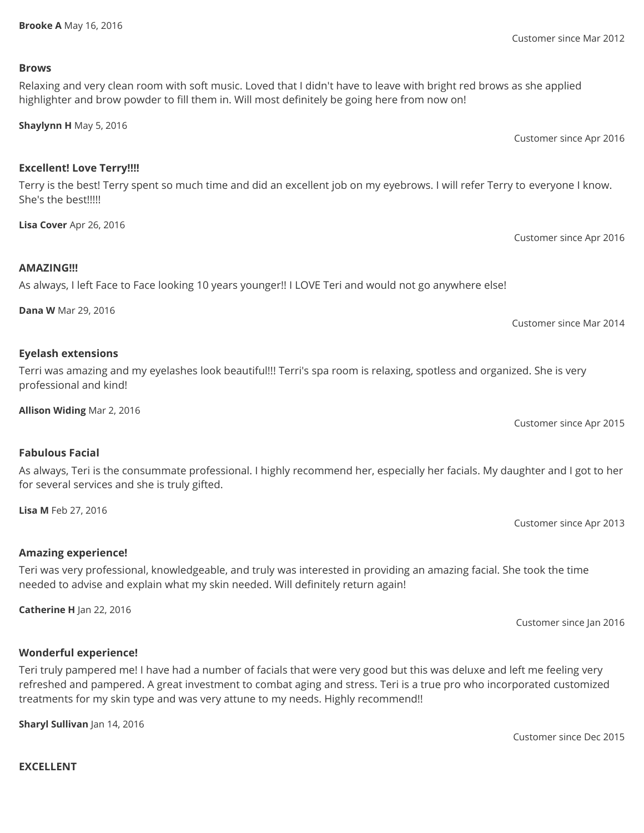#### **Brooke A** May 16, 2016

# **Brows**

# Relaxing and very clean room with soft music. Loved that I didn't have to leave with bright red brows as she applied highlighter and brow powder to fill them in. Will most definitely be going here from now on!

**Shaylynn H** May 5, 2016

# **Excellent! Love Terry!!!!**

Terry is the best! Terry spent so much time and did an excellent job on my eyebrows. I will refer Terry to everyone I know. She's the best!!!!!

**Lisa Cover** Apr 26, 2016

# **AMAZING!!!**

# As always, I left Face to Face looking 10 years younger!! I LOVE Teri and would not go anywhere else!

**Dana W** Mar 29, 2016

# **Eyelash extensions**

**Fabulous Facial**

**Lisa M** Feb 27, 2016

**Amazing experience!**

Terri was amazing and my eyelashes look beautiful!!! Terri's spa room is relaxing, spotless and organized. She is very professional and kind!

As always, Teri is the consummate professional. I highly recommend her, especially her facials. My daughter and I got to her

**Allison Widing** Mar 2, 2016

for several services and she is truly gifted.

Customer since Apr 2015

Customer since Apr 2013

Customer since Jan 2016

# **Wonderful experience!**

**Catherine H** Jan 22, 2016

Teri truly pampered me! I have had a number of facials that were very good but this was deluxe and left me feeling very refreshed and pampered. A great investment to combat aging and stress. Teri is a true pro who incorporated customized treatments for my skin type and was very attune to my needs. Highly recommend!!

Teri was very professional, knowledgeable, and truly was interested in providing an amazing facial. She took the time

needed to advise and explain what my skin needed. Will definitely return again!

**Sharyl Sullivan** Jan 14, 2016

Customer since Dec 2015

Customer since Mar 2012

Customer since Apr 2016

Customer since Mar 2014

Customer since Apr 2016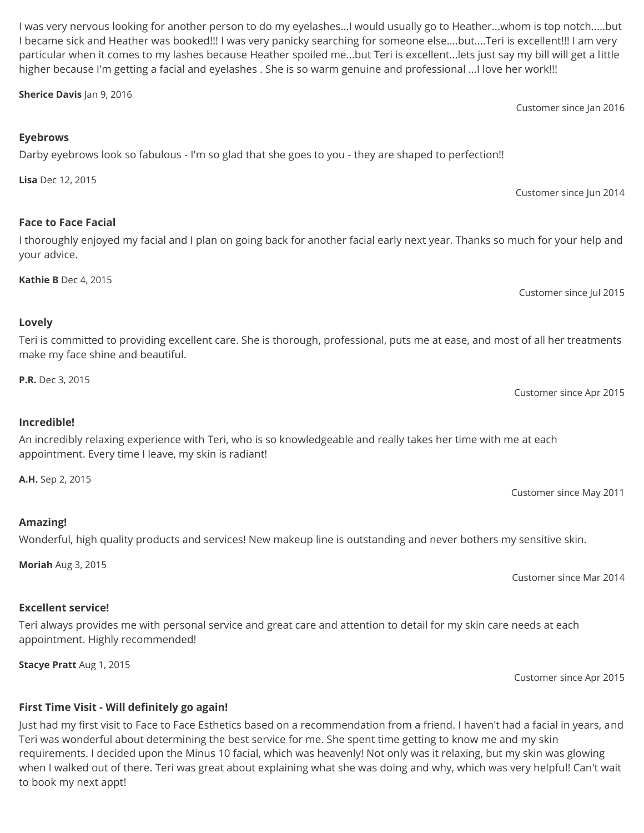Customer since Jun 2014

Customer since Jan 2016

Customer since Jul 2015

An incredibly relaxing experience with Teri, who is so knowledgeable and really takes her time with me at each

Customer since Apr 2015

Customer since May 2011

Customer since Apr 2015

Customer since Mar 2014

**First Time Visit - Will definitely go again!**

Just had my first visit to Face to Face Esthetics based on a recommendation from a friend. I haven't had a facial in years, and Teri was wonderful about determining the best service for me. She spent time getting to know me and my skin requirements. I decided upon the Minus 10 facial, which was heavenly! Not only was it relaxing, but my skin was glowing when I walked out of there. Teri was great about explaining what she was doing and why, which was very helpful! Can't wait to book my next appt!

Wonderful, high quality products and services! New makeup line is outstanding and never bothers my sensitive skin.

Teri always provides me with personal service and great care and attention to detail for my skin care needs at each

appointment. Highly recommended!

# **Moriah** Aug 3, 2015

# **Excellent service!**

**Stacye Pratt** Aug 1, 2015

# appointment. Every time I leave, my skin is radiant!

**Incredible!**

**A.H.** Sep 2, 2015

**Amazing!**

make my face shine and beautiful.

**P.R.** Dec 3, 2015

**Lovely**

your advice.

Teri is committed to providing excellent care. She is thorough, professional, puts me at ease, and most of all her treatments

**Lisa** Dec 12, 2015

**Face to Face Facial**

**Kathie B** Dec 4, 2015

**Eyebrows**

**Sherice Davis** Jan 9, 2016

I was very nervous looking for another person to do my eyelashes...I would usually go to Heather...whom is top notch.....but I became sick and Heather was booked!!! I was very panicky searching for someone else....but....Teri is excellent!!! I am very particular when it comes to my lashes because Heather spoiled me...but Teri is excellent...lets just say my bill will get a little higher because I'm getting a facial and eyelashes . She is so warm genuine and professional ...I love her work!!!

I thoroughly enjoyed my facial and I plan on going back for another facial early next year. Thanks so much for your help and

Darby eyebrows look so fabulous - I'm so glad that she goes to you - they are shaped to perfection!!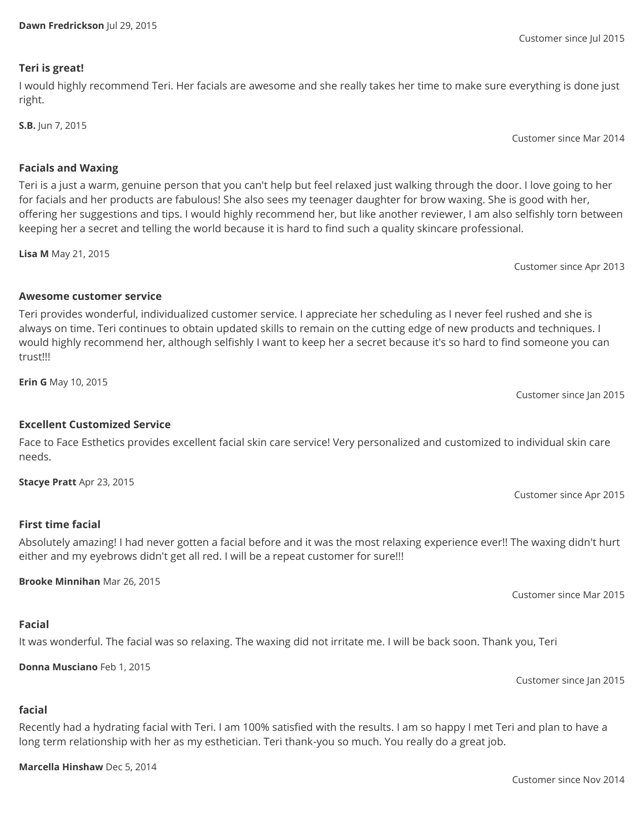### **Teri is great!**

I would highly recommend Teri. Her facials are awesome and she really takes her time to make sure everything is done just right.

**S.B.** Jun 7, 2015

Customer since Mar 2014

# **Facials and Waxing**

Teri is a just a warm, genuine person that you can't help but feel relaxed just walking through the door. I love going to her for facials and her products are fabulous! She also sees my teenager daughter for brow waxing. She is good with her, offering her suggestions and tips. I would highly recommend her, but like another reviewer, I am also selfishly torn between keeping her a secret and telling the world because it is hard to find such a quality skincare professional.

**Lisa M** May 21, 2015

Customer since Apr 2013

# **Awesome customer service**

Teri provides wonderful, individualized customer service. I appreciate her scheduling as I never feel rushed and she is always on time. Teri continues to obtain updated skills to remain on the cutting edge of new products and techniques. I would highly recommend her, although selfishly I want to keep her a secret because it's so hard to find someone you can trust!!!

**Erin G** May 10, 2015

# **Excellent Customized Service**

Face to Face Esthetics provides excellent facial skin care service! Very personalized and customized to individual skin care needs.

**Stacye Pratt** Apr 23, 2015

# **First time facial**

Absolutely amazing! I had never gotten a facial before and it was the most relaxing experience ever!! The waxing didn't hurt either and my eyebrows didn't get all red. I will be a repeat customer for sure!!!

**Brooke Minnihan** Mar 26, 2015

# **Facial**

**facial**

It was wonderful. The facial was so relaxing. The waxing did not irritate me. I will be back soon. Thank you, Teri

**Donna Musciano** Feb 1, 2015

Recently had a hydrating facial with Teri. I am 100% satisfied with the results. I am so happy I met Teri and plan to have a long term relationship with her as my esthetician. Teri thank-you so much. You really do a great job.

**Marcella Hinshaw** Dec 5, 2014

# Customer since Jul 2015

Customer since Jan 2015

Customer since Jan 2015

Customer since Mar 2015

Customer since Apr 2015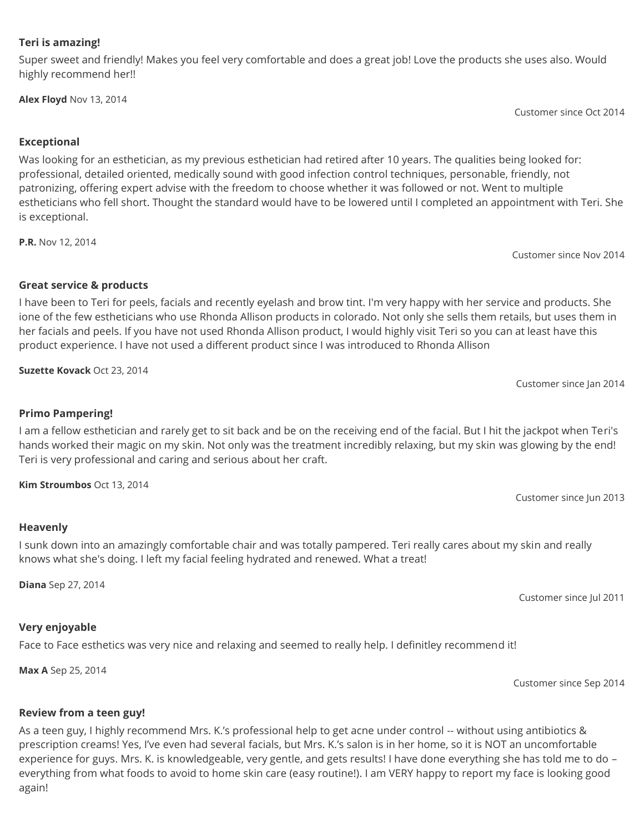#### **Teri is amazing!**

Super sweet and friendly! Makes you feel very comfortable and does a great job! Love the products she uses also. Would highly recommend her!!

**Alex Floyd** Nov 13, 2014

Customer since Oct 2014

Customer since Nov 2014

Customer since Jan 2014

Customer since Jun 2013

# **Exceptional**

Was looking for an esthetician, as my previous esthetician had retired after 10 years. The qualities being looked for: professional, detailed oriented, medically sound with good infection control techniques, personable, friendly, not patronizing, offering expert advise with the freedom to choose whether it was followed or not. Went to multiple estheticians who fell short. Thought the standard would have to be lowered until I completed an appointment with Teri. She is exceptional.

**P.R.** Nov 12, 2014

**Great service & products**

I have been to Teri for peels, facials and recently eyelash and brow tint. I'm very happy with her service and products. She ione of the few estheticians who use Rhonda Allison products in colorado. Not only she sells them retails, but uses them in her facials and peels. If you have not used Rhonda Allison product, I would highly visit Teri so you can at least have this product experience. I have not used a different product since I was introduced to Rhonda Allison

**Suzette Kovack** Oct 23, 2014

**Primo Pampering!**

I am a fellow esthetician and rarely get to sit back and be on the receiving end of the facial. But I hit the jackpot when Teri's hands worked their magic on my skin. Not only was the treatment incredibly relaxing, but my skin was glowing by the end! Teri is very professional and caring and serious about her craft.

**Kim Stroumbos** Oct 13, 2014

**Heavenly**

I sunk down into an amazingly comfortable chair and was totally pampered. Teri really cares about my skin and really knows what she's doing. I left my facial feeling hydrated and renewed. What a treat!

**Diana** Sep 27, 2014

Customer since Jul 2011

#### **Very enjoyable**

Face to Face esthetics was very nice and relaxing and seemed to really help. I definitley recommend it!

**Max A** Sep 25, 2014

Customer since Sep 2014

# **Review from a teen guy!**

As a teen guy, I highly recommend Mrs. K.'s professional help to get acne under control -- without using antibiotics & prescription creams! Yes, I've even had several facials, but Mrs. K.'s salon is in her home, so it is NOT an uncomfortable experience for guys. Mrs. K. is knowledgeable, very gentle, and gets results! I have done everything she has told me to do – everything from what foods to avoid to home skin care (easy routine!). I am VERY happy to report my face is looking good again!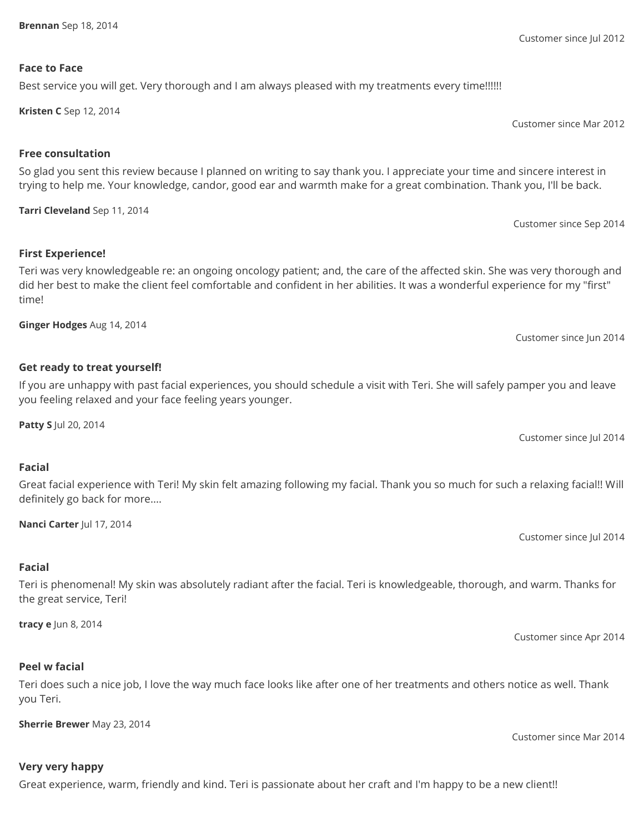Customer since Jul 2012

#### **Face to Face**

### Best service you will get. Very thorough and I am always pleased with my treatments every time!!!!!!

**Kristen C** Sep 12, 2014

Customer since Mar 2012

# **Free consultation**

So glad you sent this review because I planned on writing to say thank you. I appreciate your time and sincere interest in trying to help me. Your knowledge, candor, good ear and warmth make for a great combination. Thank you, I'll be back.

**Tarri Cleveland** Sep 11, 2014

Customer since Sep 2014

# **First Experience!**

Teri was very knowledgeable re: an ongoing oncology patient; and, the care of the affected skin. She was very thorough and did her best to make the client feel comfortable and confident in her abilities. It was a wonderful experience for my "first" time!

**Ginger Hodges** Aug 14, 2014

# **Get ready to treat yourself!**

If you are unhappy with past facial experiences, you should schedule a visit with Teri. She will safely pamper you and leave you feeling relaxed and your face feeling years younger.

**Patty S** Jul 20, 2014

Customer since Jul 2014

Customer since Jun 2014

# **Facial**

Great facial experience with Teri! My skin felt amazing following my facial. Thank you so much for such a relaxing facial!! Will definitely go back for more....

**Nanci Carter** Jul 17, 2014

Customer since Jul 2014

# **Facial**

Teri is phenomenal! My skin was absolutely radiant after the facial. Teri is knowledgeable, thorough, and warm. Thanks for the great service, Teri!

**tracy e** Jun 8, 2014

Customer since Apr 2014

Customer since Mar 2014

#### **Peel w facial**

Teri does such a nice job, I love the way much face looks like after one of her treatments and others notice as well. Thank you Teri.

**Sherrie Brewer** May 23, 2014

# **Very very happy**

Great experience, warm, friendly and kind. Teri is passionate about her craft and I'm happy to be a new client!!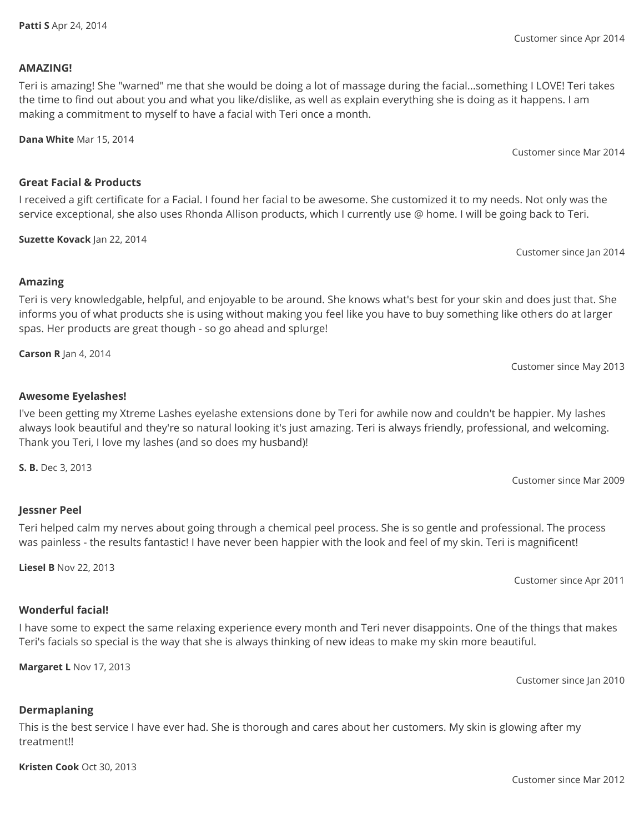#### **AMAZING!**

Teri is amazing! She "warned" me that she would be doing a lot of massage during the facial...something I LOVE! Teri takes the time to find out about you and what you like/dislike, as well as explain everything she is doing as it happens. I am making a commitment to myself to have a facial with Teri once a month.

**Dana White** Mar 15, 2014

### **Great Facial & Products**

I received a gift certificate for a Facial. I found her facial to be awesome. She customized it to my needs. Not only was the service exceptional, she also uses Rhonda Allison products, which I currently use @ home. I will be going back to Teri.

**Suzette Kovack** Jan 22, 2014

Customer since Jan 2014

Customer since May 2013

### **Amazing**

Teri is very knowledgable, helpful, and enjoyable to be around. She knows what's best for your skin and does just that. She informs you of what products she is using without making you feel like you have to buy something like others do at larger spas. Her products are great though - so go ahead and splurge!

**Carson R** Jan 4, 2014

# **Awesome Eyelashes!**

I've been getting my Xtreme Lashes eyelashe extensions done by Teri for awhile now and couldn't be happier. My lashes always look beautiful and they're so natural looking it's just amazing. Teri is always friendly, professional, and welcoming. Thank you Teri, I love my lashes (and so does my husband)!

**S. B.** Dec 3, 2013

#### **Jessner Peel**

Teri helped calm my nerves about going through a chemical peel process. She is so gentle and professional. The process was painless - the results fantastic! I have never been happier with the look and feel of my skin. Teri is magnificent!

**Liesel B** Nov 22, 2013

# **Wonderful facial!**

I have some to expect the same relaxing experience every month and Teri never disappoints. One of the things that makes Teri's facials so special is the way that she is always thinking of new ideas to make my skin more beautiful.

**Margaret L** Nov 17, 2013

Customer since Jan 2010

# **Dermaplaning**

This is the best service I have ever had. She is thorough and cares about her customers. My skin is glowing after my treatment!!

**Kristen Cook** Oct 30, 2013

Customer since Apr 2014

Customer since Mar 2014

Customer since Mar 2009

Customer since Apr 2011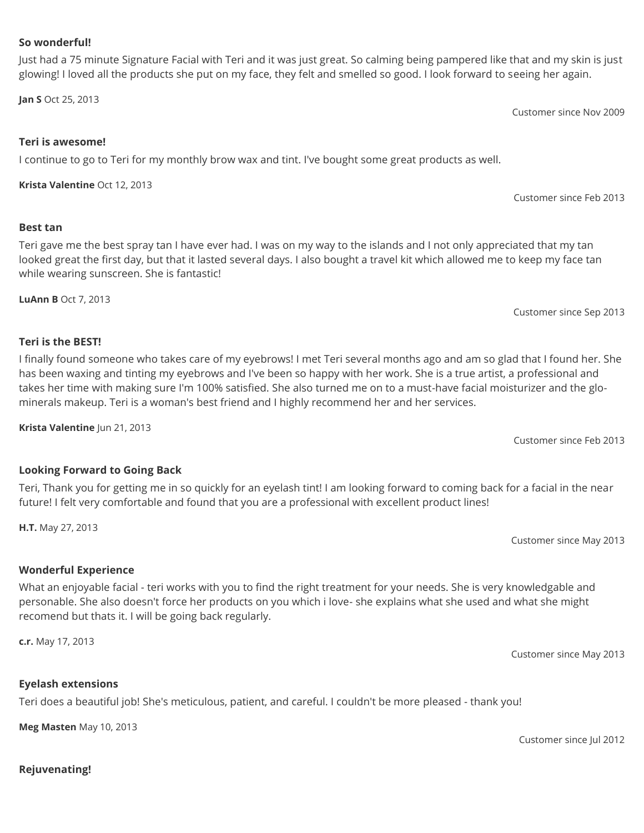**Best tan**

I finally found someone who takes care of my eyebrows! I met Teri several months ago and am so glad that I found her. She has been waxing and tinting my eyebrows and I've been so happy with her work. She is a true artist, a professional and takes her time with making sure I'm 100% satisfied. She also turned me on to a must-have facial moisturizer and the glominerals makeup. Teri is a woman's best friend and I highly recommend her and her services.

Just had a 75 minute Signature Facial with Teri and it was just great. So calming being pampered like that and my skin is just

glowing! I loved all the products she put on my face, they felt and smelled so good. I look forward to seeing her again.

Teri gave me the best spray tan I have ever had. I was on my way to the islands and I not only appreciated that my tan looked great the first day, but that it lasted several days. I also bought a travel kit which allowed me to keep my face tan

I continue to go to Teri for my monthly brow wax and tint. I've bought some great products as well.

**Krista Valentine** Jun 21, 2013

# **Looking Forward to Going Back**

Teri, Thank you for getting me in so quickly for an eyelash tint! I am looking forward to coming back for a facial in the near future! I felt very comfortable and found that you are a professional with excellent product lines!

What an enjoyable facial - teri works with you to find the right treatment for your needs. She is very knowledgable and personable. She also doesn't force her products on you which i love- she explains what she used and what she might recomend but thats it. I will be going back regularly.

**c.r.** May 17, 2013

# **Eyelash extensions**

Teri does a beautiful job! She's meticulous, patient, and careful. I couldn't be more pleased - thank you!

**Meg Masten** May 10, 2013

**Teri is the BEST!**

**LuAnn B** Oct 7, 2013

Customer since May 2013

Customer since Sep 2013

Customer since Feb 2013

Customer since May 2013

Customer since Nov 2009

Customer since Feb 2013

Customer since Jul 2012

#### **So wonderful!**

**Jan S** Oct 25, 2013

**Teri is awesome!**

**Krista Valentine** Oct 12, 2013

while wearing sunscreen. She is fantastic!

# **Rejuvenating!**

**H.T.** May 27, 2013

**Wonderful Experience**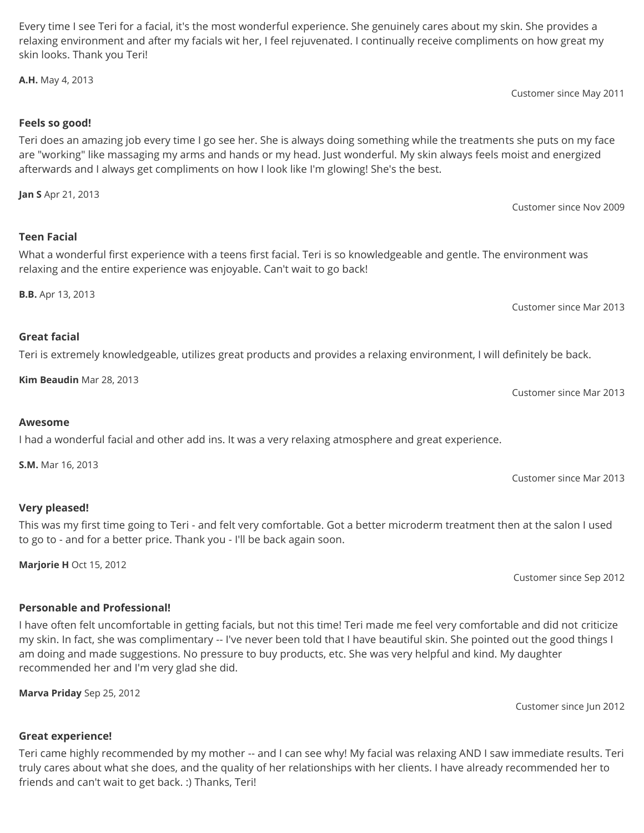Every time I see Teri for a facial, it's the most wonderful experience. She genuinely cares about my skin. She provides a relaxing environment and after my facials wit her, I feel rejuvenated. I continually receive compliments on how great my skin looks. Thank you Teri!

**A.H.** May 4, 2013

Customer since May 2011

# **Feels so good!**

Teri does an amazing job every time I go see her. She is always doing something while the treatments she puts on my face are "working" like massaging my arms and hands or my head. Just wonderful. My skin always feels moist and energized afterwards and I always get compliments on how I look like I'm glowing! She's the best.

**Jan S** Apr 21, 2013

# **Teen Facial**

What a wonderful first experience with a teens first facial. Teri is so knowledgeable and gentle. The environment was relaxing and the entire experience was enjoyable. Can't wait to go back!

**B.B.** Apr 13, 2013

Customer since Mar 2013

Customer since Mar 2013

Customer since Mar 2013

Customer since Sep 2012

Customer since Nov 2009

# **Great facial**

Teri is extremely knowledgeable, utilizes great products and provides a relaxing environment, I will definitely be back.

**Kim Beaudin** Mar 28, 2013

**Awesome**

I had a wonderful facial and other add ins. It was a very relaxing atmosphere and great experience.

**S.M.** Mar 16, 2013

# **Very pleased!**

This was my first time going to Teri - and felt very comfortable. Got a better microderm treatment then at the salon I used to go to - and for a better price. Thank you - I'll be back again soon.

**Marjorie H** Oct 15, 2012

# **Personable and Professional!**

# I have often felt uncomfortable in getting facials, but not this time! Teri made me feel very comfortable and did not criticize my skin. In fact, she was complimentary -- I've never been told that I have beautiful skin. She pointed out the good things I am doing and made suggestions. No pressure to buy products, etc. She was very helpful and kind. My daughter recommended her and I'm very glad she did.

**Marva Priday** Sep 25, 2012

Customer since Jun 2012

# **Great experience!**

Teri came highly recommended by my mother -- and I can see why! My facial was relaxing AND I saw immediate results. Teri truly cares about what she does, and the quality of her relationships with her clients. I have already recommended her to friends and can't wait to get back. :) Thanks, Teri!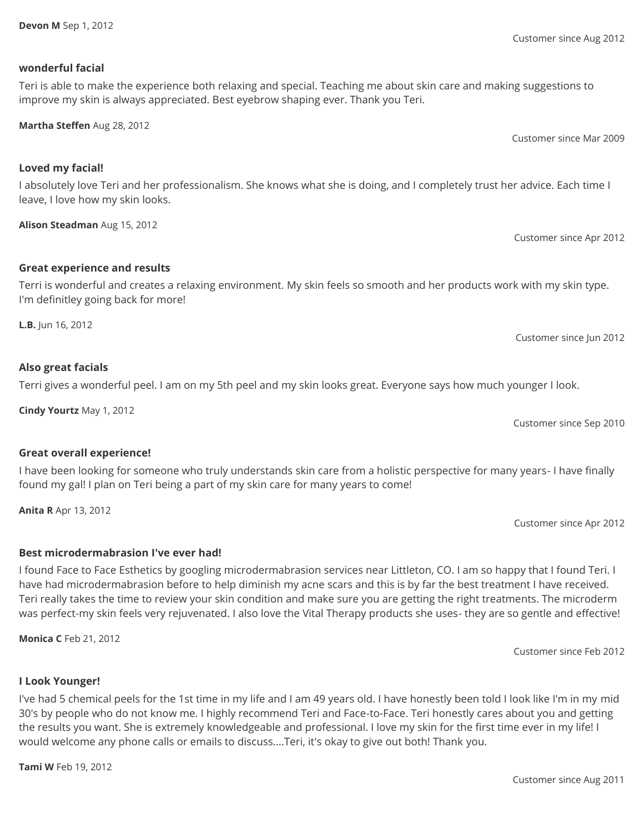**Devon M** Sep 1, 2012

#### **wonderful facial**

**Loved my facial!**

# Teri is able to make the experience both relaxing and special. Teaching me about skin care and making suggestions to improve my skin is always appreciated. Best eyebrow shaping ever. Thank you Teri.

**Martha Steffen** Aug 28, 2012

I absolutely love Teri and her professionalism. She knows what she is doing, and I completely trust her advice. Each time I leave, I love how my skin looks.

**Alison Steadman** Aug 15, 2012

# **Great experience and results**

Terri is wonderful and creates a relaxing environment. My skin feels so smooth and her products work with my skin type. I'm definitley going back for more!

**L.B.** Jun 16, 2012

# **Also great facials**

Terri gives a wonderful peel. I am on my 5th peel and my skin looks great. Everyone says how much younger I look.

**Cindy Yourtz** May 1, 2012

# **Great overall experience!**

I have been looking for someone who truly understands skin care from a holistic perspective for many years- I have finally found my gal! I plan on Teri being a part of my skin care for many years to come!

**Anita R** Apr 13, 2012

# **Best microdermabrasion I've ever had!**

I found Face to Face Esthetics by googling microdermabrasion services near Littleton, CO. I am so happy that I found Teri. I have had microdermabrasion before to help diminish my acne scars and this is by far the best treatment I have received. Teri really takes the time to review your skin condition and make sure you are getting the right treatments. The microderm was perfect-my skin feels very rejuvenated. I also love the Vital Therapy products she uses- they are so gentle and effective!

**Monica C** Feb 21, 2012

# **I Look Younger!**

I've had 5 chemical peels for the 1st time in my life and I am 49 years old. I have honestly been told I look like I'm in my mid 30's by people who do not know me. I highly recommend Teri and Face-to-Face. Teri honestly cares about you and getting the results you want. She is extremely knowledgeable and professional. I love my skin for the first time ever in my life! I would welcome any phone calls or emails to discuss....Teri, it's okay to give out both! Thank you.

**Tami W** Feb 19, 2012

Customer since Aug 2012

Customer since Mar 2009

Customer since Apr 2012

Customer since Sep 2010

Customer since Apr 2012

Customer since Jun 2012

Customer since Feb 2012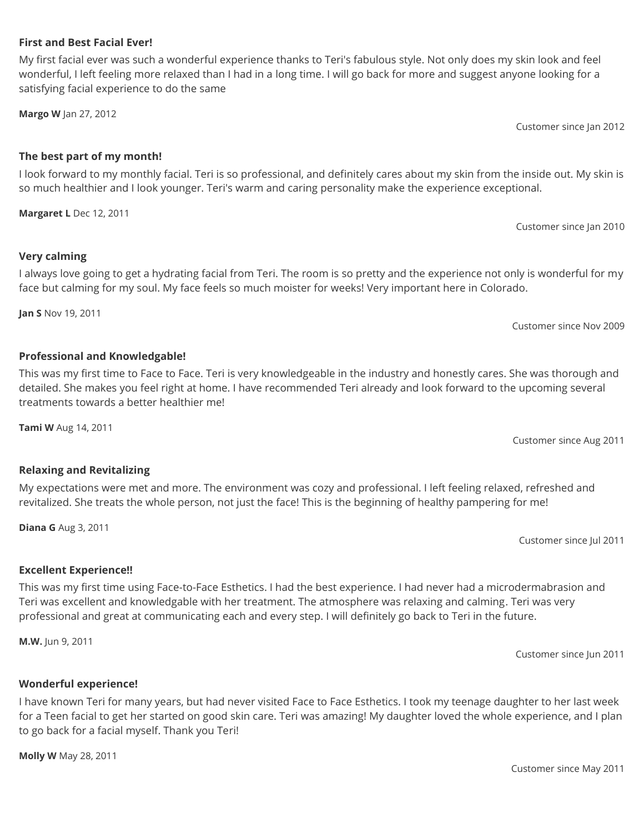# Customer since May 2011

# **Wonderful experience!**

I have known Teri for many years, but had never visited Face to Face Esthetics. I took my teenage daughter to her last week for a Teen facial to get her started on good skin care. Teri was amazing! My daughter loved the whole experience, and I plan to go back for a facial myself. Thank you Teri!

**Molly W** May 28, 2011

# revitalized. She treats the whole person, not just the face! This is the beginning of healthy pampering for me!

**Relaxing and Revitalizing**

# **Diana G** Aug 3, 2011

**M.W.** Jun 9, 2011

**Excellent Experience!!**

treatments towards a better healthier me! **Tami W** Aug 14, 2011

My expectations were met and more. The environment was cozy and professional. I left feeling relaxed, refreshed and

This was my first time using Face-to-Face Esthetics. I had the best experience. I had never had a microdermabrasion and Teri was excellent and knowledgable with her treatment. The atmosphere was relaxing and calming. Teri was very

professional and great at communicating each and every step. I will definitely go back to Teri in the future.

This was my first time to Face to Face. Teri is very knowledgeable in the industry and honestly cares. She was thorough and detailed. She makes you feel right at home. I have recommended Teri already and look forward to the upcoming several

Customer since Nov 2009

I look forward to my monthly facial. Teri is so professional, and definitely cares about my skin from the inside out. My skin is so much healthier and I look younger. Teri's warm and caring personality make the experience exceptional.

**Margaret L** Dec 12, 2011

**Very calming**

# **The best part of my month!**

My first facial ever was such a wonderful experience thanks to Teri's fabulous style. Not only does my skin look and feel wonderful, I left feeling more relaxed than I had in a long time. I will go back for more and suggest anyone looking for a satisfying facial experience to do the same

**Margo W** Jan 27, 2012

**First and Best Facial Ever!**

# I always love going to get a hydrating facial from Teri. The room is so pretty and the experience not only is wonderful for my face but calming for my soul. My face feels so much moister for weeks! Very important here in Colorado.

**Jan S** Nov 19, 2011

**Professional and Knowledgable!**

Customer since Aug 2011

Customer since Jul 2011

Customer since Jan 2010

Customer since Jan 2012

Customer since Jun 2011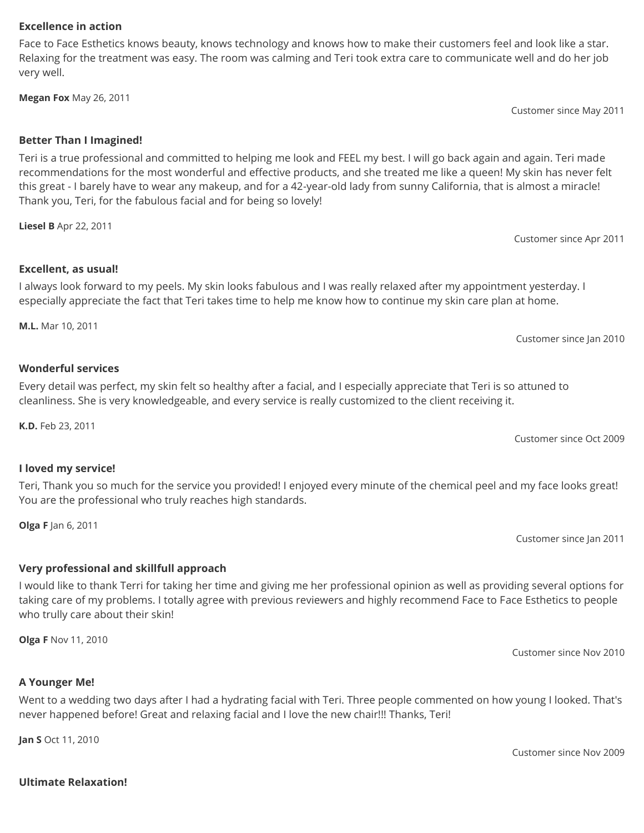#### Customer since Nov 2009

Customer since Nov 2010

**Ultimate Relaxation!**

#### **Excellence in action**

Face to Face Esthetics knows beauty, knows technology and knows how to make their customers feel and look like a star. Relaxing for the treatment was easy. The room was calming and Teri took extra care to communicate well and do her job very well.

**Megan Fox** May 26, 2011

#### **Better Than I Imagined!**

Teri is a true professional and committed to helping me look and FEEL my best. I will go back again and again. Teri made recommendations for the most wonderful and effective products, and she treated me like a queen! My skin has never felt this great - I barely have to wear any makeup, and for a 42-year-old lady from sunny California, that is almost a miracle! Thank you, Teri, for the fabulous facial and for being so lovely!

**Liesel B** Apr 22, 2011

### **Excellent, as usual!**

# I always look forward to my peels. My skin looks fabulous and I was really relaxed after my appointment yesterday. I especially appreciate the fact that Teri takes time to help me know how to continue my skin care plan at home.

**M.L.** Mar 10, 2011

### **Wonderful services**

Every detail was perfect, my skin felt so healthy after a facial, and I especially appreciate that Teri is so attuned to cleanliness. She is very knowledgeable, and every service is really customized to the client receiving it.

**K.D.** Feb 23, 2011

# **I loved my service!**

Teri, Thank you so much for the service you provided! I enjoyed every minute of the chemical peel and my face looks great! You are the professional who truly reaches high standards.

**Olga F** Jan 6, 2011

# **Very professional and skillfull approach**

I would like to thank Terri for taking her time and giving me her professional opinion as well as providing several options for taking care of my problems. I totally agree with previous reviewers and highly recommend Face to Face Esthetics to people who trully care about their skin!

**Olga F** Nov 11, 2010

**A Younger Me!**

Went to a wedding two days after I had a hydrating facial with Teri. Three people commented on how young I looked. That's never happened before! Great and relaxing facial and I love the new chair!!! Thanks, Teri!

**Jan S** Oct 11, 2010

Customer since Apr 2011

Customer since May 2011

Customer since Jan 2010

Customer since Oct 2009

Customer since Jan 2011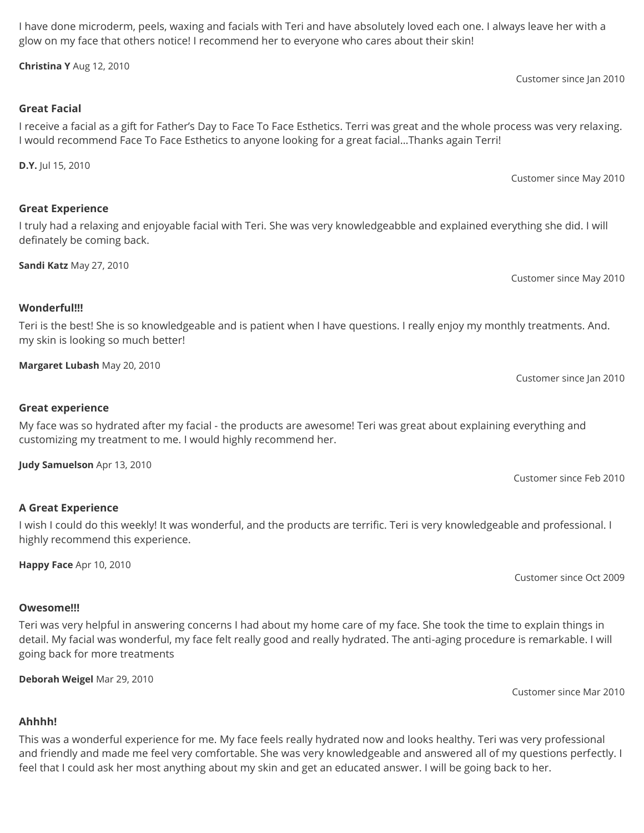I have done microderm, peels, waxing and facials with Teri and have absolutely loved each one. I always leave her with a glow on my face that others notice! I recommend her to everyone who cares about their skin!

**Christina Y** Aug 12, 2010

# **Great Facial**

# I receive a facial as a gift for Father's Day to Face To Face Esthetics. Terri was great and the whole process was very relaxing. I would recommend Face To Face Esthetics to anyone looking for a great facial…Thanks again Terri!

**D.Y.** Jul 15, 2010

# **Great Experience**

# I truly had a relaxing and enjoyable facial with Teri. She was very knowledgeabble and explained everything she did. I will definately be coming back.

**Sandi Katz** May 27, 2010

Customer since May 2010

# **Wonderful!!!**

Teri is the best! She is so knowledgeable and is patient when I have questions. I really enjoy my monthly treatments. And. my skin is looking so much better!

**Margaret Lubash** May 20, 2010

**Great experience**

My face was so hydrated after my facial - the products are awesome! Teri was great about explaining everything and customizing my treatment to me. I would highly recommend her.

**Judy Samuelson** Apr 13, 2010

# **A Great Experience**

I wish I could do this weekly! It was wonderful, and the products are terrific. Teri is very knowledgeable and professional. I highly recommend this experience.

**Happy Face** Apr 10, 2010

# **Owesome!!!**

Teri was very helpful in answering concerns I had about my home care of my face. She took the time to explain things in detail. My facial was wonderful, my face felt really good and really hydrated. The anti-aging procedure is remarkable. I will going back for more treatments

**Deborah Weigel** Mar 29, 2010

Customer since Mar 2010

# **Ahhhh!**

This was a wonderful experience for me. My face feels really hydrated now and looks healthy. Teri was very professional and friendly and made me feel very comfortable. She was very knowledgeable and answered all of my questions perfectly. I feel that I could ask her most anything about my skin and get an educated answer. I will be going back to her.

Customer since Jan 2010

Customer since Oct 2009

Customer since Feb 2010

Customer since May 2010

Customer since Jan 2010